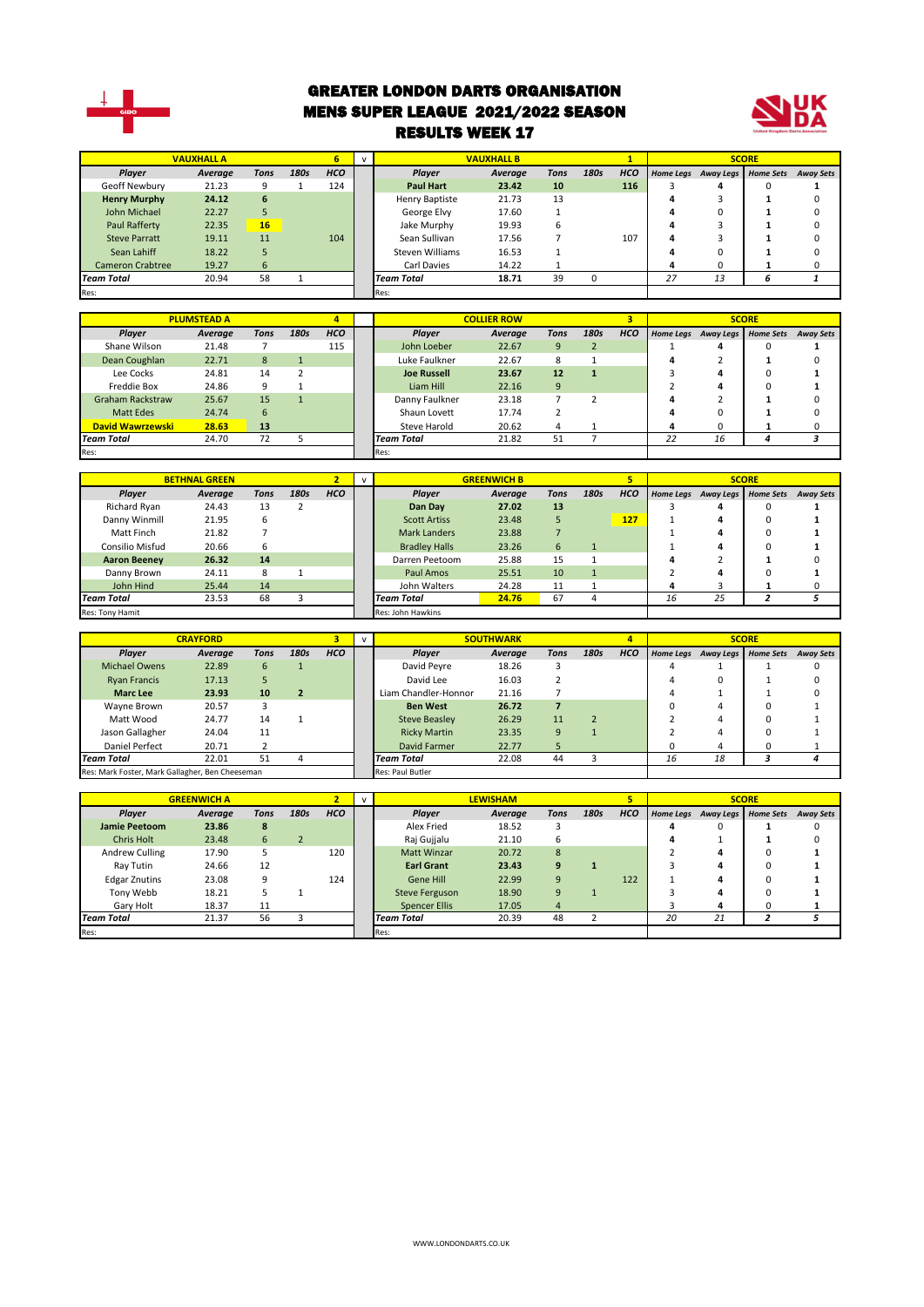

#### GREATER LONDON DARTS ORGANISATION MENS SUPER LEAGUE 2021/2022 SEASON RESULTS WEEK 17



|                         | <b>VAUXHALL A</b> |      |      |            |                   | <b>VAUXHALL B</b> |             |      |            |    |                     | <b>SCORE</b>     |                  |
|-------------------------|-------------------|------|------|------------|-------------------|-------------------|-------------|------|------------|----|---------------------|------------------|------------------|
| Player                  | Average           | Tons | 180s | <b>HCO</b> | Player            | Average           | <b>Tons</b> | 180s | <b>HCO</b> |    | Home Legs Away Legs | <b>Home Sets</b> | <b>Away Sets</b> |
| Geoff Newbury           | 21.23             | 9    |      | 124        | <b>Paul Hart</b>  | 23.42             | 10          |      | 116        |    | 4                   |                  |                  |
| <b>Henry Murphy</b>     | 24.12             | 6    |      |            | Henry Baptiste    | 21.73             | 13          |      |            |    |                     |                  |                  |
| John Michael            | 22.27             |      |      |            | George Elvy       | 17.60             |             |      |            |    |                     |                  |                  |
| Paul Rafferty           | 22.35             | 16   |      |            | Jake Murphy       | 19.93             | h           |      |            |    |                     |                  |                  |
| <b>Steve Parratt</b>    | 19.11             | 11   |      | 104        | Sean Sullivan     | 17.56             |             |      | 107        | 4  |                     |                  |                  |
| Sean Lahiff             | 18.22             |      |      |            | Steven Williams   | 16.53             |             |      |            |    |                     |                  |                  |
| <b>Cameron Crabtree</b> | 19.27             | 6    |      |            | Carl Davies       | 14.22             |             |      |            |    |                     |                  |                  |
| <b>Team Total</b>       | 20.94             | 58   |      |            | <b>Team Total</b> | 18.71             | 39          |      |            | 27 | 13                  | ь                |                  |
| Res:                    |                   |      |      |            | Res:              |                   |             |      |            |    |                     |                  |                  |

|                         | <b>PLUMSTEAD A</b> |      |      |            |                    | <b>COLLIER ROW</b> |             |      |            |                  |           | <b>SCORE</b>     |                  |
|-------------------------|--------------------|------|------|------------|--------------------|--------------------|-------------|------|------------|------------------|-----------|------------------|------------------|
| Player                  | Average            | Tons | 180s | <b>HCO</b> | Player             | Average            | <b>Tons</b> | 180s | <b>HCO</b> | <b>Home Legs</b> | Away Legs | <b>Home Sets</b> | <b>Away Sets</b> |
| Shane Wilson            | 21.48              |      |      | 115        | John Loeber        | 22.67              | 9           |      |            |                  |           |                  |                  |
| Dean Coughlan           | 22.71              | 8    |      |            | Luke Faulkner      | 22.67              | 8           |      |            | 4                |           |                  |                  |
| Lee Cocks               | 24.81              | 14   |      |            | <b>Joe Russell</b> | 23.67              | 12          |      |            |                  |           |                  |                  |
| Freddie Box             | 24.86              | 9    |      |            | Liam Hill          | 22.16              | 9           |      |            |                  |           |                  |                  |
| <b>Graham Rackstraw</b> | 25.67              | 15   |      |            | Danny Faulkner     | 23.18              |             | C.   |            |                  |           |                  |                  |
| <b>Matt Edes</b>        | 24.74              | 6    |      |            | Shaun Lovett       | 17.74              |             |      |            | Δ                | 0         |                  |                  |
| David Wawrzewski        | 28.63              | 13   |      |            | Steve Harold       | 20.62              |             |      |            |                  |           |                  |                  |
| <b>Team Total</b>       | 24.70              | 72   |      |            | <b>Team Total</b>  | 21.82              | 51          |      |            | 22               | 16        |                  |                  |
| Res:                    |                    |      |      |            | Res:               |                    |             |      |            |                  |           |                  |                  |

|                        | <b>BETHNAL GREEN</b> |      |      |            |                      | <b>GREENWICH B</b> |             |      | 5          |   |                     | <b>SCORE</b>     |                  |
|------------------------|----------------------|------|------|------------|----------------------|--------------------|-------------|------|------------|---|---------------------|------------------|------------------|
| Player                 | Average              | Tons | 180s | <b>HCO</b> | Player               | Average            | <b>Tons</b> | 180s | <b>HCO</b> |   | Home Legs Away Legs | <b>Home Sets</b> | <b>Away Sets</b> |
| Richard Ryan           | 24.43                | 13   |      |            | Dan Day              | 27.02              | 13          |      |            |   | 4                   |                  |                  |
| Danny Winmill          | 21.95                | 6    |      |            | <b>Scott Artiss</b>  | 23.48              |             |      | 127        |   | 4                   | 0                |                  |
| Matt Finch             | 21.82                |      |      |            | <b>Mark Landers</b>  | 23.88              |             |      |            |   |                     | 0                |                  |
| <b>Consilio Misfud</b> | 20.66                | 6    |      |            | <b>Bradley Halls</b> | 23.26              | 6           |      |            |   | 4                   |                  |                  |
| <b>Aaron Beeney</b>    | 26.32                | 14   |      |            | Darren Peetoom       | 25.88              | 15          |      |            |   |                     |                  |                  |
| Danny Brown            | 24.11                | 8    |      |            | Paul Amos            | 25.51              | 10          |      |            |   | 4                   |                  |                  |
| John Hind              | 25.44                | 14   |      |            | John Walters         | 24.28              | 11          |      |            | д |                     |                  |                  |
| <b>Team Total</b>      | 23.53                | 68   |      |            | <b>Team Total</b>    |                    |             | 16   | 25         |   |                     |                  |                  |
| Res: Tony Hamit        |                      |      |      |            | Res: John Hawkins    |                    |             |      |            |   |                     |                  |                  |

|                                                 | <b>CRAYFORD</b> |      |      |            |                                  | <b>SOUTHWARK</b> |      |      | $\overline{\mathbf{A}}$ |                  |                     | <b>SCORE</b> |                  |
|-------------------------------------------------|-----------------|------|------|------------|----------------------------------|------------------|------|------|-------------------------|------------------|---------------------|--------------|------------------|
| Player                                          | Average         | Tons | 180s | <b>HCO</b> | <b>Plaver</b>                    | Average          | Tons | 180s | <b>HCO</b>              | <b>Home Legs</b> | Away Legs Home Sets |              | <b>Away Sets</b> |
| <b>Michael Owens</b>                            | 22.89           | 6    |      |            | David Peyre                      | 18.26            |      |      |                         |                  |                     |              |                  |
| <b>Ryan Francis</b>                             | 17.13           |      |      |            | David Lee                        | 16.03            |      |      |                         |                  |                     |              |                  |
| <b>Marc Lee</b>                                 | 23.93           | 10   |      |            | Liam Chandler-Honnor<br>21.16    |                  |      |      |                         |                  |                     |              |                  |
| Wavne Brown                                     | 20.57           |      |      |            | 26.72<br><b>Ben West</b>         |                  |      |      |                         |                  |                     |              |                  |
| Matt Wood                                       | 24.77           | 14   |      |            | <b>Steve Beasley</b>             | 26.29            | 11   |      |                         |                  |                     |              |                  |
| Jason Gallagher                                 | 24.04           | 11   |      |            | <b>Ricky Martin</b>              | 23.35            | 9    |      |                         |                  |                     |              |                  |
| Daniel Perfect                                  | 20.71           |      |      |            | David Farmer                     | 22.77            | 5    |      |                         | 0                | 4                   |              |                  |
| <b>Team Total</b>                               | 22.01           | 51   | 4    |            | 22.08<br>44<br><b>Team Total</b> |                  |      |      |                         | 16               | 18                  |              |                  |
| Res: Mark Foster, Mark Gallagher, Ben Cheeseman |                 |      |      |            | Res: Paul Butler                 |                  |      |      |                         |                  |                     |              |                  |

|                      | <b>GREENWICH A</b> |      |      |            | $\mathbf{v}$ |                       | <b>LEWISHAM</b> |      |      |            |                  |           | <b>SCORE</b>     |                  |
|----------------------|--------------------|------|------|------------|--------------|-----------------------|-----------------|------|------|------------|------------------|-----------|------------------|------------------|
| <b>Plaver</b>        | Average            | Tons | 180s | <b>HCO</b> |              | <b>Plaver</b>         | Average         | Tons | 180s | <b>HCO</b> | <b>Home Legs</b> | Away Legs | <b>Home Sets</b> | <b>Away Sets</b> |
| <b>Jamie Peetoom</b> | 23.86              | 8    |      |            |              | Alex Fried            | 18.52           |      |      |            |                  |           |                  |                  |
| <b>Chris Holt</b>    | 23.48              | 6    |      |            |              | Raj Gujjalu           | 21.10           | b    |      |            | 4                |           |                  |                  |
| Andrew Culling       | 17.90              |      |      | 120        |              | Matt Winzar           | 20.72           | 8    |      |            |                  | д         |                  |                  |
| Ray Tutin            | 24.66              | 12   |      |            |              | <b>Earl Grant</b>     | 23.43           | q    |      |            |                  |           |                  |                  |
| <b>Edgar Znutins</b> | 23.08              | 9    |      | 124        |              | Gene Hill             | 22.99           | 9    |      | 122        |                  | д         |                  |                  |
| Tony Webb            | 18.21              |      |      |            |              | <b>Steve Ferguson</b> | 18.90           | 9    |      |            |                  |           |                  |                  |
| Gary Holt            | 18.37              | 11   |      |            |              | Spencer Ellis         | 17.05           | 4    |      |            |                  |           |                  |                  |
| <b>Team Total</b>    | 21.37              | 56   |      |            |              | <b>Team Total</b>     | 20.39           | 48   |      |            | 20               | 21        |                  |                  |
| Res:                 |                    |      |      |            |              | Res:                  |                 |      |      |            |                  |           |                  |                  |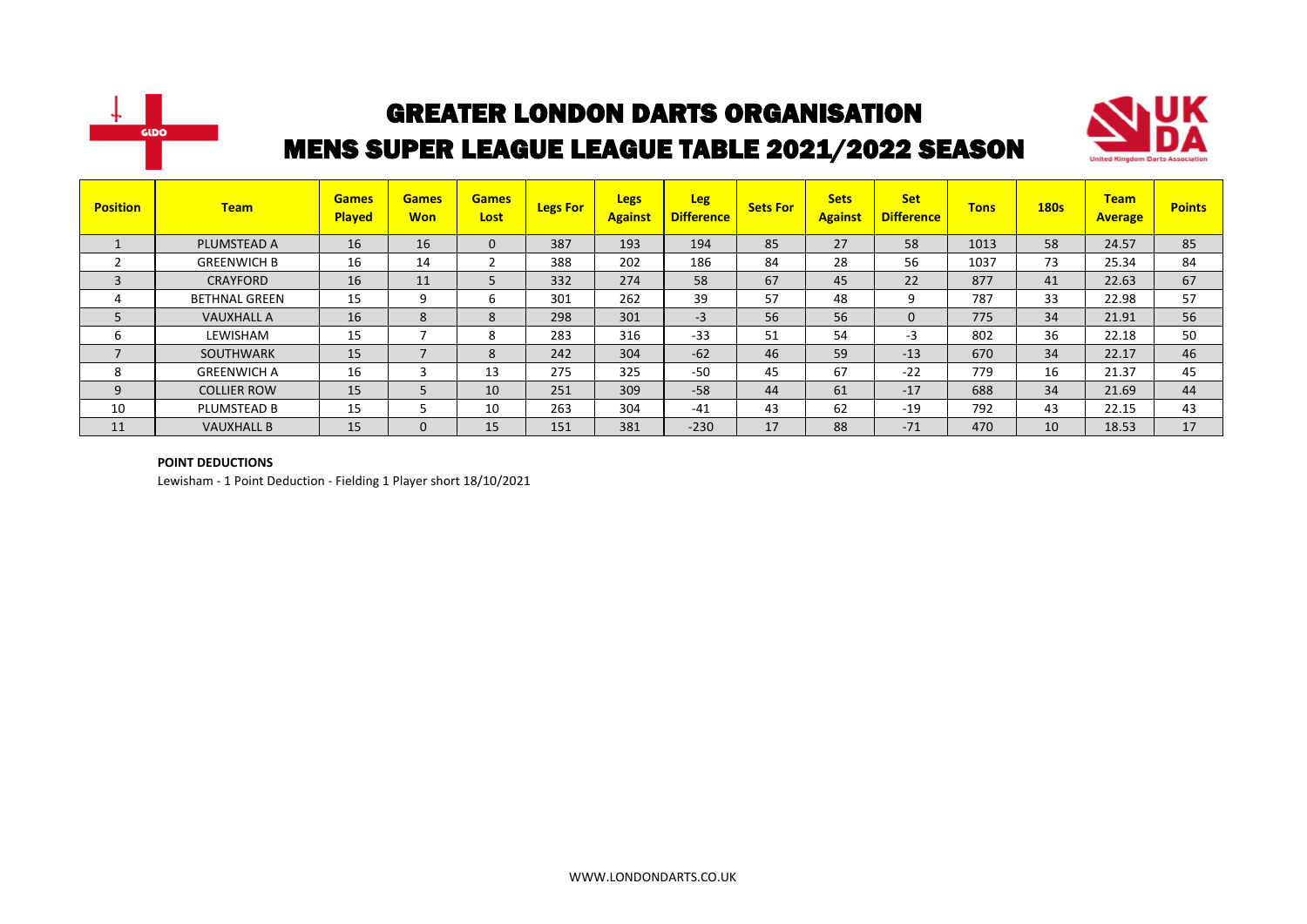



| <b>Position</b> | <b>Team</b>          | <b>Games</b><br><b>Played</b> | <b>Games</b><br><b>Won</b> | <b>Games</b><br>Lost | <b>Legs For</b> | <b>Legs</b><br><b>Against</b> | <b>Leg</b><br><b>Difference</b> | <b>Sets For</b> | <b>Sets</b><br><b>Against</b> | <b>Set</b><br><b>Difference</b> | <b>Tons</b> | <b>180s</b> | <b>Team</b><br><b>Average</b> | <b>Points</b> |
|-----------------|----------------------|-------------------------------|----------------------------|----------------------|-----------------|-------------------------------|---------------------------------|-----------------|-------------------------------|---------------------------------|-------------|-------------|-------------------------------|---------------|
|                 | PLUMSTEAD A          | 16                            | 16                         | $\mathbf{0}$         | 387             | 193                           | 194                             | 85              | 27                            | 58                              | 1013        | 58          | 24.57                         | 85            |
| ີ               | <b>GREENWICH B</b>   | 16                            | 14                         |                      | 388             | 202                           | 186                             | 84              | 28                            | 56                              | 1037        | 73          | 25.34                         | 84            |
| 3               | <b>CRAYFORD</b>      | 16                            | 11                         |                      | 332             | 274                           | 58                              | 67              | 45                            | 22                              | 877         | 41          | 22.63                         | 67            |
| 4               | <b>BETHNAL GREEN</b> | 15                            | 9                          | b                    | 301             | 262                           | 39                              | 57              | 48                            | 9                               | 787         | 33          | 22.98                         | 57            |
| 5               | <b>VAUXHALL A</b>    | 16                            | 8                          | 8                    | 298             | 301                           | $-3$                            | 56              | 56                            | $\mathbf{0}$                    | 775         | 34          | 21.91                         | 56            |
| 6               | LEWISHAM             | 15                            |                            | 8                    | 283             | 316                           | $-33$                           | 51              | 54                            | -3                              | 802         | 36          | 22.18                         | 50            |
| $\overline{ }$  | <b>SOUTHWARK</b>     | 15                            | $\overline{\phantom{a}}$   | 8                    | 242             | 304                           | $-62$                           | 46              | 59                            | $-13$                           | 670         | 34          | 22.17                         | 46            |
| 8               | <b>GREENWICH A</b>   | 16                            | 3                          | 13                   | 275             | 325                           | $-50$                           | 45              | 67                            | $-22$                           | 779         | 16          | 21.37                         | 45            |
| 9               | <b>COLLIER ROW</b>   | 15                            | 5                          | 10                   | 251             | 309                           | $-58$                           | 44              | 61                            | $-17$                           | 688         | 34          | 21.69                         | 44            |
| 10              | PLUMSTEAD B          | 15                            |                            | 10                   | 263             | 304                           | $-41$                           | 43              | 62                            | $-19$                           | 792         | 43          | 22.15                         | 43            |
| 11              | <b>VAUXHALL B</b>    | 15                            | $\mathbf 0$                | 15                   | 151             | 381                           | $-230$                          | 17              | 88                            | $-71$                           | 470         | 10          | 18.53                         | 17            |

#### **POINT DEDUCTIONS**

Lewisham - 1 Point Deduction - Fielding 1 Player short 18/10/2021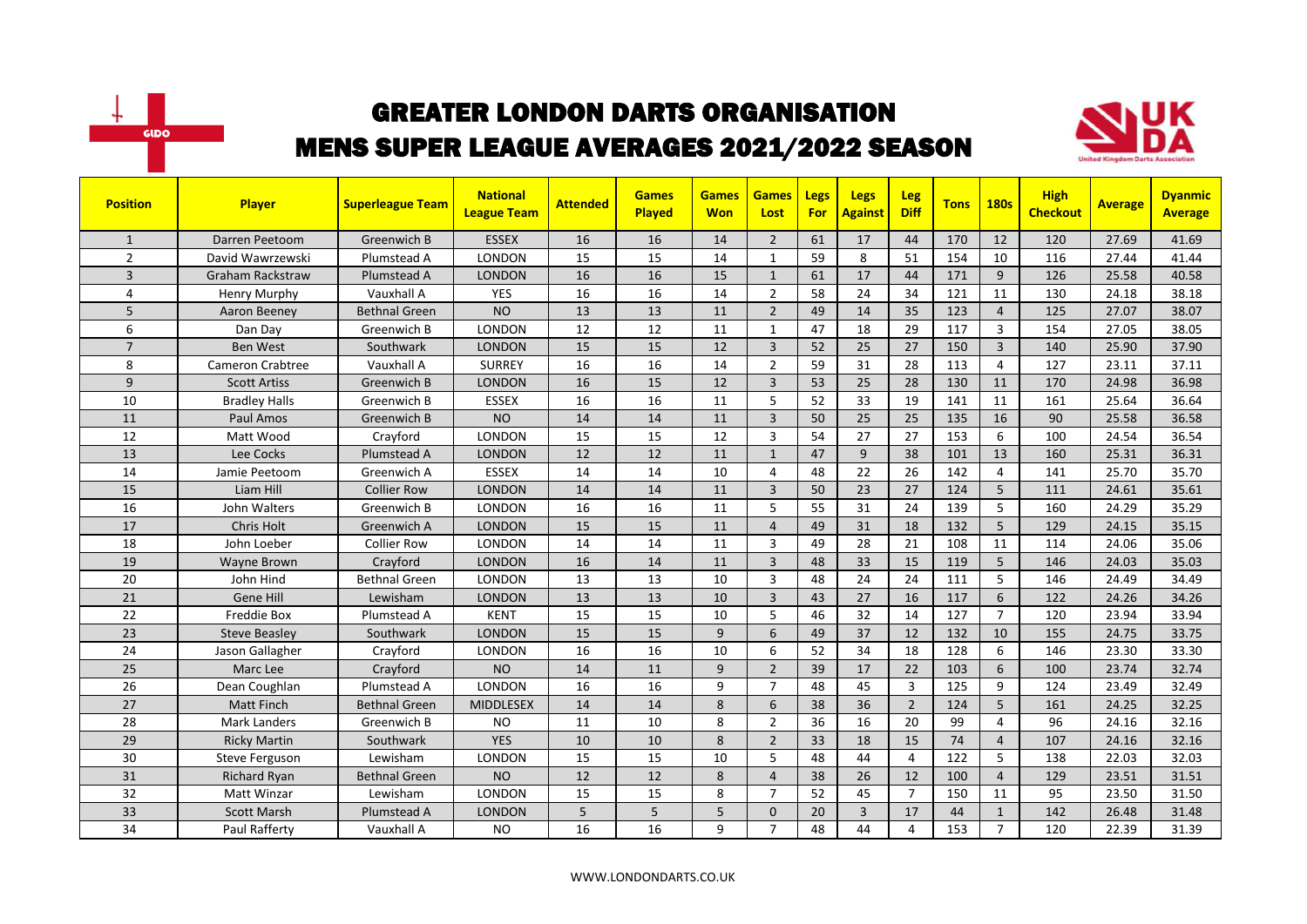



| <b>Position</b> | <b>Player</b>           | <b>Superleague Team</b> | <b>National</b><br><b>League Team</b> | <b>Attended</b> | <b>Games</b><br><b>Played</b> | <b>Games</b><br><b>Won</b> | <b>Games</b><br>Lost | Legs<br><b>For</b> | Legs<br><b>Against</b> | Leg<br><b>Diff</b> | <b>Tons</b> | <b>180s</b>    | <b>High</b><br><b>Checkout</b> | <b>Average</b> | <b>Dyanmic</b><br><b>Average</b> |
|-----------------|-------------------------|-------------------------|---------------------------------------|-----------------|-------------------------------|----------------------------|----------------------|--------------------|------------------------|--------------------|-------------|----------------|--------------------------------|----------------|----------------------------------|
| $\mathbf{1}$    | Darren Peetoom          | Greenwich B             | <b>ESSEX</b>                          | 16              | 16                            | 14                         | $\overline{2}$       | 61                 | 17                     | 44                 | 170         | 12             | 120                            | 27.69          | 41.69                            |
| $\overline{2}$  | David Wawrzewski        | Plumstead A             | <b>LONDON</b>                         | 15              | 15                            | 14                         | 1                    | 59                 | 8                      | 51                 | 154         | 10             | 116                            | 27.44          | 41.44                            |
| 3               | <b>Graham Rackstraw</b> | Plumstead A             | <b>LONDON</b>                         | 16              | 16                            | 15                         | $\mathbf{1}$         | 61                 | 17                     | 44                 | 171         | 9              | 126                            | 25.58          | 40.58                            |
| 4               | Henry Murphy            | Vauxhall A              | <b>YES</b>                            | 16              | 16                            | 14                         | $\overline{2}$       | 58                 | 24                     | 34                 | 121         | 11             | 130                            | 24.18          | 38.18                            |
| 5               | Aaron Beeney            | <b>Bethnal Green</b>    | <b>NO</b>                             | 13              | 13                            | 11                         | $\overline{2}$       | 49                 | 14                     | 35                 | 123         | $\overline{4}$ | 125                            | 27.07          | 38.07                            |
| 6               | Dan Day                 | Greenwich B             | <b>LONDON</b>                         | 12              | 12                            | 11                         | $\mathbf{1}$         | 47                 | 18                     | 29                 | 117         | $\mathbf{3}$   | 154                            | 27.05          | 38.05                            |
| $\overline{7}$  | <b>Ben West</b>         | Southwark               | <b>LONDON</b>                         | 15              | 15                            | 12                         | $\overline{3}$       | 52                 | 25                     | 27                 | 150         | $\overline{3}$ | 140                            | 25.90          | 37.90                            |
| 8               | <b>Cameron Crabtree</b> | Vauxhall A              | <b>SURREY</b>                         | 16              | 16                            | 14                         | $\overline{2}$       | 59                 | 31                     | 28                 | 113         | 4              | 127                            | 23.11          | 37.11                            |
| 9               | <b>Scott Artiss</b>     | Greenwich B             | <b>LONDON</b>                         | 16              | 15                            | 12                         | $\overline{3}$       | 53                 | 25                     | 28                 | 130         | 11             | 170                            | 24.98          | 36.98                            |
| 10              | <b>Bradley Halls</b>    | Greenwich B             | <b>ESSEX</b>                          | 16              | 16                            | 11                         | 5                    | 52                 | 33                     | 19                 | 141         | 11             | 161                            | 25.64          | 36.64                            |
| 11              | Paul Amos               | Greenwich B             | <b>NO</b>                             | 14              | 14                            | 11                         | $\overline{3}$       | 50                 | 25                     | 25                 | 135         | 16             | 90                             | 25.58          | 36.58                            |
| 12              | Matt Wood               | Crayford                | <b>LONDON</b>                         | 15              | 15                            | 12                         | $\overline{3}$       | 54                 | 27                     | 27                 | 153         | 6              | 100                            | 24.54          | 36.54                            |
| 13              | Lee Cocks               | Plumstead A             | <b>LONDON</b>                         | 12              | 12                            | 11                         | $\mathbf{1}$         | 47                 | 9                      | 38                 | 101         | 13             | 160                            | 25.31          | 36.31                            |
| 14              | Jamie Peetoom           | Greenwich A             | <b>ESSEX</b>                          | 14              | 14                            | 10                         | $\overline{4}$       | 48                 | 22                     | 26                 | 142         | 4              | 141                            | 25.70          | 35.70                            |
| 15              | Liam Hill               | <b>Collier Row</b>      | <b>LONDON</b>                         | 14              | 14                            | 11                         | $\overline{3}$       | 50                 | 23                     | 27                 | 124         | 5 <sup>1</sup> | 111                            | 24.61          | 35.61                            |
| 16              | John Walters            | Greenwich B             | LONDON                                | 16              | 16                            | 11                         | 5                    | 55                 | 31                     | 24                 | 139         | 5              | 160                            | 24.29          | 35.29                            |
| 17              | Chris Holt              | Greenwich A             | <b>LONDON</b>                         | 15              | 15                            | 11                         | $\overline{4}$       | 49                 | 31                     | 18                 | 132         | 5              | 129                            | 24.15          | 35.15                            |
| 18              | John Loeber             | Collier Row             | LONDON                                | 14              | 14                            | 11                         | 3                    | 49                 | 28                     | 21                 | 108         | 11             | 114                            | 24.06          | 35.06                            |
| 19              | Wayne Brown             | Crayford                | <b>LONDON</b>                         | 16              | 14                            | 11                         | $\overline{3}$       | 48                 | 33                     | 15                 | 119         | 5              | 146                            | 24.03          | 35.03                            |
| 20              | John Hind               | <b>Bethnal Green</b>    | LONDON                                | 13              | 13                            | 10                         | $\overline{3}$       | 48                 | 24                     | 24                 | 111         | 5              | 146                            | 24.49          | 34.49                            |
| 21              | Gene Hill               | Lewisham                | <b>LONDON</b>                         | 13              | 13                            | 10                         | $\overline{3}$       | 43                 | 27                     | 16                 | 117         | 6              | 122                            | 24.26          | 34.26                            |
| 22              | <b>Freddie Box</b>      | Plumstead A             | <b>KENT</b>                           | 15              | 15                            | 10                         | 5                    | 46                 | 32                     | 14                 | 127         | $\overline{7}$ | 120                            | 23.94          | 33.94                            |
| 23              | <b>Steve Beasley</b>    | Southwark               | <b>LONDON</b>                         | 15              | 15                            | 9                          | 6                    | 49                 | 37                     | 12                 | 132         | 10             | 155                            | 24.75          | 33.75                            |
| 24              | Jason Gallagher         | Crayford                | LONDON                                | 16              | 16                            | 10                         | 6                    | 52                 | 34                     | 18                 | 128         | 6              | 146                            | 23.30          | 33.30                            |
| 25              | Marc Lee                | Crayford                | <b>NO</b>                             | 14              | 11                            | 9                          | $\overline{2}$       | 39                 | 17                     | 22                 | 103         | 6              | 100                            | 23.74          | 32.74                            |
| 26              | Dean Coughlan           | Plumstead A             | <b>LONDON</b>                         | 16              | 16                            | 9                          | $\overline{7}$       | 48                 | 45                     | 3                  | 125         | 9              | 124                            | 23.49          | 32.49                            |
| 27              | Matt Finch              | <b>Bethnal Green</b>    | <b>MIDDLESEX</b>                      | 14              | 14                            | 8                          | 6                    | 38                 | 36                     | $\overline{2}$     | 124         | 5              | 161                            | 24.25          | 32.25                            |
| 28              | Mark Landers            | Greenwich B             | <b>NO</b>                             | 11              | 10                            | 8                          | $\overline{2}$       | 36                 | 16                     | 20                 | 99          | 4              | 96                             | 24.16          | 32.16                            |
| 29              | <b>Ricky Martin</b>     | Southwark               | <b>YES</b>                            | 10              | 10                            | 8                          | $\overline{2}$       | 33                 | 18                     | 15                 | 74          | $\overline{4}$ | 107                            | 24.16          | 32.16                            |
| 30              | <b>Steve Ferguson</b>   | Lewisham                | <b>LONDON</b>                         | 15              | $\overline{15}$               | 10                         | 5                    | 48                 | 44                     | $\overline{a}$     | 122         | 5              | 138                            | 22.03          | 32.03                            |
| 31              | <b>Richard Ryan</b>     | <b>Bethnal Green</b>    | <b>NO</b>                             | 12              | 12                            | 8                          | $\overline{4}$       | 38                 | 26                     | 12                 | 100         | $\overline{4}$ | 129                            | 23.51          | 31.51                            |
| 32              | Matt Winzar             | Lewisham                | LONDON                                | 15              | 15                            | 8                          | $\overline{7}$       | 52                 | 45                     | $\overline{7}$     | 150         | 11             | 95                             | 23.50          | 31.50                            |
| 33              | <b>Scott Marsh</b>      | Plumstead A             | <b>LONDON</b>                         | 5               | 5                             | 5                          | $\mathbf{0}$         | 20                 | 3                      | 17                 | 44          | $\mathbf{1}$   | 142                            | 26.48          | 31.48                            |
| 34              | Paul Rafferty           | Vauxhall A              | <b>NO</b>                             | 16              | 16                            | 9                          | $\overline{7}$       | 48                 | 44                     | $\overline{4}$     | 153         | $\overline{7}$ | 120                            | 22.39          | 31.39                            |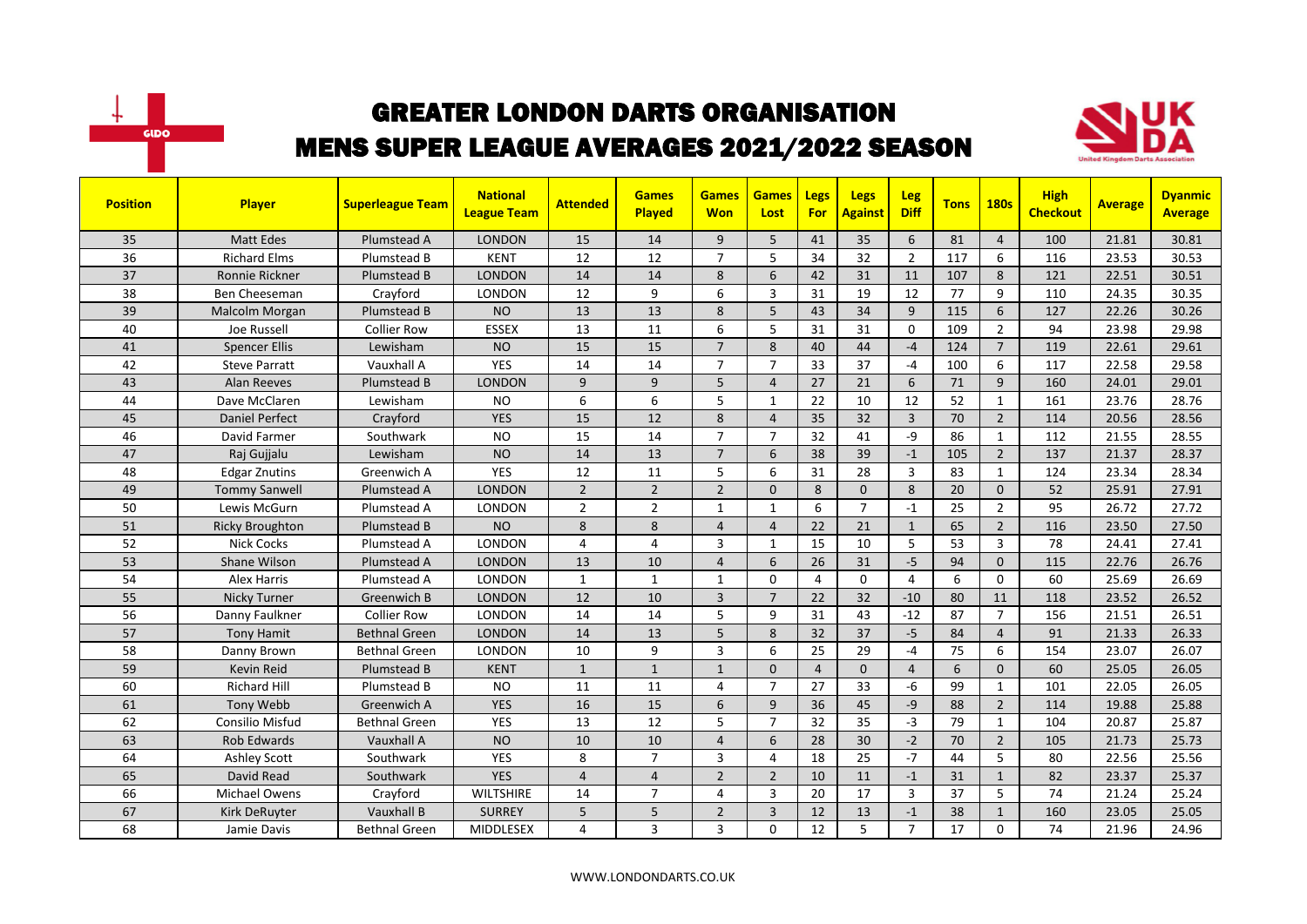



| <b>Position</b> | Player                 | <b>Superleague Team</b> | <b>National</b><br><b>League Team</b> | <b>Attended</b> | <b>Games</b><br>Played | <b>Games</b><br><b>Won</b> | <b>Games</b><br>Lost | Legs<br>For    | <b>Legs</b><br><b>Against</b> | Leg<br><b>Diff</b> | <b>Tons</b> | <b>180s</b>    | <b>High</b><br><b>Checkout</b> | <b>Average</b> | <b>Dyanmic</b><br><b>Average</b> |
|-----------------|------------------------|-------------------------|---------------------------------------|-----------------|------------------------|----------------------------|----------------------|----------------|-------------------------------|--------------------|-------------|----------------|--------------------------------|----------------|----------------------------------|
| 35              | <b>Matt Edes</b>       | Plumstead A             | <b>LONDON</b>                         | 15              | 14                     | 9                          | 5                    | 41             | 35                            | 6                  | 81          | $\overline{4}$ | 100                            | 21.81          | 30.81                            |
| 36              | <b>Richard Elms</b>    | Plumstead B             | <b>KENT</b>                           | 12              | 12                     | $\overline{7}$             | 5                    | 34             | 32                            | $\overline{2}$     | 117         | 6              | 116                            | 23.53          | 30.53                            |
| 37              | Ronnie Rickner         | Plumstead B             | <b>LONDON</b>                         | 14              | 14                     | 8                          | 6                    | 42             | 31                            | 11                 | 107         | 8              | 121                            | 22.51          | 30.51                            |
| 38              | Ben Cheeseman          | Crayford                | LONDON                                | 12              | 9                      | 6                          | 3                    | 31             | 19                            | 12                 | 77          | 9              | 110                            | 24.35          | 30.35                            |
| 39              | Malcolm Morgan         | Plumstead B             | <b>NO</b>                             | 13              | 13                     | 8                          | 5                    | 43             | 34                            | 9                  | 115         | 6              | 127                            | 22.26          | 30.26                            |
| 40              | Joe Russell            | <b>Collier Row</b>      | <b>ESSEX</b>                          | 13              | 11                     | 6                          | 5                    | 31             | 31                            | $\Omega$           | 109         | $\overline{2}$ | 94                             | 23.98          | 29.98                            |
| 41              | <b>Spencer Ellis</b>   | Lewisham                | <b>NO</b>                             | 15              | 15                     | $\overline{7}$             | 8                    | 40             | 44                            | $-4$               | 124         | $\overline{7}$ | 119                            | 22.61          | 29.61                            |
| 42              | <b>Steve Parratt</b>   | Vauxhall A              | YES                                   | 14              | 14                     | $\overline{7}$             | $\overline{7}$       | 33             | 37                            | $-4$               | 100         | 6              | 117                            | 22.58          | 29.58                            |
| 43              | <b>Alan Reeves</b>     | Plumstead B             | <b>LONDON</b>                         | 9               | 9                      | 5                          | $\overline{4}$       | 27             | 21                            | 6                  | 71          | 9              | 160                            | 24.01          | 29.01                            |
| 44              | Dave McClaren          | Lewisham                | <b>NO</b>                             | 6               | 6                      | 5                          | $\mathbf{1}$         | 22             | 10                            | 12                 | 52          | $\mathbf{1}$   | 161                            | 23.76          | 28.76                            |
| 45              | <b>Daniel Perfect</b>  | Crayford                | <b>YES</b>                            | 15              | 12                     | 8                          | $\overline{4}$       | 35             | 32                            | $\overline{3}$     | 70          | $\overline{2}$ | 114                            | 20.56          | 28.56                            |
| 46              | David Farmer           | Southwark               | <b>NO</b>                             | 15              | 14                     | $\overline{7}$             | $\overline{7}$       | 32             | 41                            | $-9$               | 86          | $\mathbf{1}$   | 112                            | 21.55          | 28.55                            |
| 47              | Raj Gujjalu            | Lewisham                | <b>NO</b>                             | 14              | 13                     | $\overline{7}$             | 6                    | 38             | 39                            | $-1$               | 105         | $\overline{2}$ | 137                            | 21.37          | 28.37                            |
| 48              | <b>Edgar Znutins</b>   | Greenwich A             | <b>YES</b>                            | 12              | 11                     | 5                          | 6                    | 31             | 28                            | 3                  | 83          | $\mathbf{1}$   | 124                            | 23.34          | 28.34                            |
| 49              | <b>Tommy Sanwell</b>   | Plumstead A             | <b>LONDON</b>                         | $\overline{2}$  | $\overline{2}$         | $\overline{2}$             | $\Omega$             | 8              | $\Omega$                      | 8                  | 20          | $\Omega$       | 52                             | 25.91          | 27.91                            |
| 50              | Lewis McGurn           | Plumstead A             | <b>LONDON</b>                         | $\overline{2}$  | $\overline{2}$         | $\mathbf{1}$               | $\mathbf{1}$         | 6              | $\overline{7}$                | $-1$               | 25          | $\overline{2}$ | 95                             | 26.72          | 27.72                            |
| 51              | <b>Ricky Broughton</b> | Plumstead B             | <b>NO</b>                             | 8               | 8                      | $\overline{4}$             | $\overline{4}$       | 22             | 21                            | $\mathbf{1}$       | 65          | $\overline{2}$ | 116                            | 23.50          | 27.50                            |
| 52              | <b>Nick Cocks</b>      | Plumstead A             | LONDON                                | 4               | $\overline{4}$         | 3                          | $\mathbf{1}$         | 15             | 10                            | 5                  | 53          | 3              | 78                             | 24.41          | 27.41                            |
| 53              | Shane Wilson           | Plumstead A             | <b>LONDON</b>                         | 13              | 10                     | $\overline{4}$             | 6                    | 26             | 31                            | $-5$               | 94          | $\mathbf{0}$   | 115                            | 22.76          | 26.76                            |
| 54              | Alex Harris            | Plumstead A             | <b>LONDON</b>                         | 1               | $\mathbf{1}$           | 1                          | $\Omega$             | 4              | $\Omega$                      | $\overline{4}$     | 6           | $\Omega$       | 60                             | 25.69          | 26.69                            |
| 55              | Nicky Turner           | <b>Greenwich B</b>      | <b>LONDON</b>                         | 12              | 10                     | $\overline{3}$             | $\overline{7}$       | 22             | 32                            | $-10$              | 80          | 11             | 118                            | 23.52          | 26.52                            |
| 56              | Danny Faulkner         | <b>Collier Row</b>      | <b>LONDON</b>                         | 14              | 14                     | 5                          | 9                    | 31             | 43                            | $-12$              | 87          | $\overline{7}$ | 156                            | 21.51          | 26.51                            |
| 57              | <b>Tony Hamit</b>      | <b>Bethnal Green</b>    | <b>LONDON</b>                         | 14              | 13                     | 5                          | 8                    | 32             | 37                            | $-5$               | 84          | $\overline{4}$ | 91                             | 21.33          | 26.33                            |
| 58              | Danny Brown            | <b>Bethnal Green</b>    | LONDON                                | 10              | 9                      | 3                          | 6                    | 25             | 29                            | $-4$               | 75          | 6              | 154                            | 23.07          | 26.07                            |
| 59              | Kevin Reid             | Plumstead B             | <b>KENT</b>                           | $\mathbf{1}$    | $\mathbf{1}$           | $\mathbf{1}$               | $\mathbf{0}$         | $\overline{4}$ | $\mathbf{0}$                  | $\overline{4}$     | 6           | $\mathbf{0}$   | 60                             | 25.05          | 26.05                            |
| 60              | <b>Richard Hill</b>    | Plumstead B             | <b>NO</b>                             | 11              | 11                     | 4                          | $\overline{7}$       | 27             | 33                            | -6                 | 99          | $\mathbf{1}$   | 101                            | 22.05          | 26.05                            |
| 61              | <b>Tony Webb</b>       | Greenwich A             | <b>YES</b>                            | 16              | 15                     | 6                          | 9                    | 36             | 45                            | $-9$               | 88          | $\overline{2}$ | 114                            | 19.88          | 25.88                            |
| 62              | <b>Consilio Misfud</b> | <b>Bethnal Green</b>    | YES                                   | 13              | 12                     | 5                          | $\overline{7}$       | 32             | 35                            | $-3$               | 79          | $\mathbf{1}$   | 104                            | 20.87          | 25.87                            |
| 63              | <b>Rob Edwards</b>     | Vauxhall A              | <b>NO</b>                             | 10              | 10                     | $\overline{4}$             | 6                    | 28             | 30                            | $-2$               | 70          | $\overline{2}$ | 105                            | 21.73          | 25.73                            |
| 64              | <b>Ashley Scott</b>    | Southwark               | <b>YES</b>                            | 8               | $\overline{7}$         | 3                          | $\overline{4}$       | 18             | 25                            | $-7$               | 44          | 5              | 80                             | 22.56          | 25.56                            |
| 65              | David Read             | Southwark               | <b>YES</b>                            | $\overline{4}$  | $\overline{4}$         | $\overline{2}$             | $\overline{2}$       | 10             | 11                            | $-1$               | 31          | $\mathbf{1}$   | 82                             | 23.37          | 25.37                            |
| 66              | Michael Owens          | Crayford                | <b>WILTSHIRE</b>                      | 14              | $\overline{7}$         | 4                          | 3                    | 20             | 17                            | 3                  | 37          | 5              | 74                             | 21.24          | 25.24                            |
| 67              | <b>Kirk DeRuyter</b>   | Vauxhall B              | <b>SURREY</b>                         | 5               | 5                      | $\overline{2}$             | 3                    | 12             | 13                            | $-1$               | 38          | $\mathbf{1}$   | 160                            | 23.05          | 25.05                            |
| 68              | Jamie Davis            | <b>Bethnal Green</b>    | MIDDLESEX                             | 4               | 3                      | 3                          | $\Omega$             | 12             | 5                             | $\overline{7}$     | 17          | $\mathbf 0$    | 74                             | 21.96          | 24.96                            |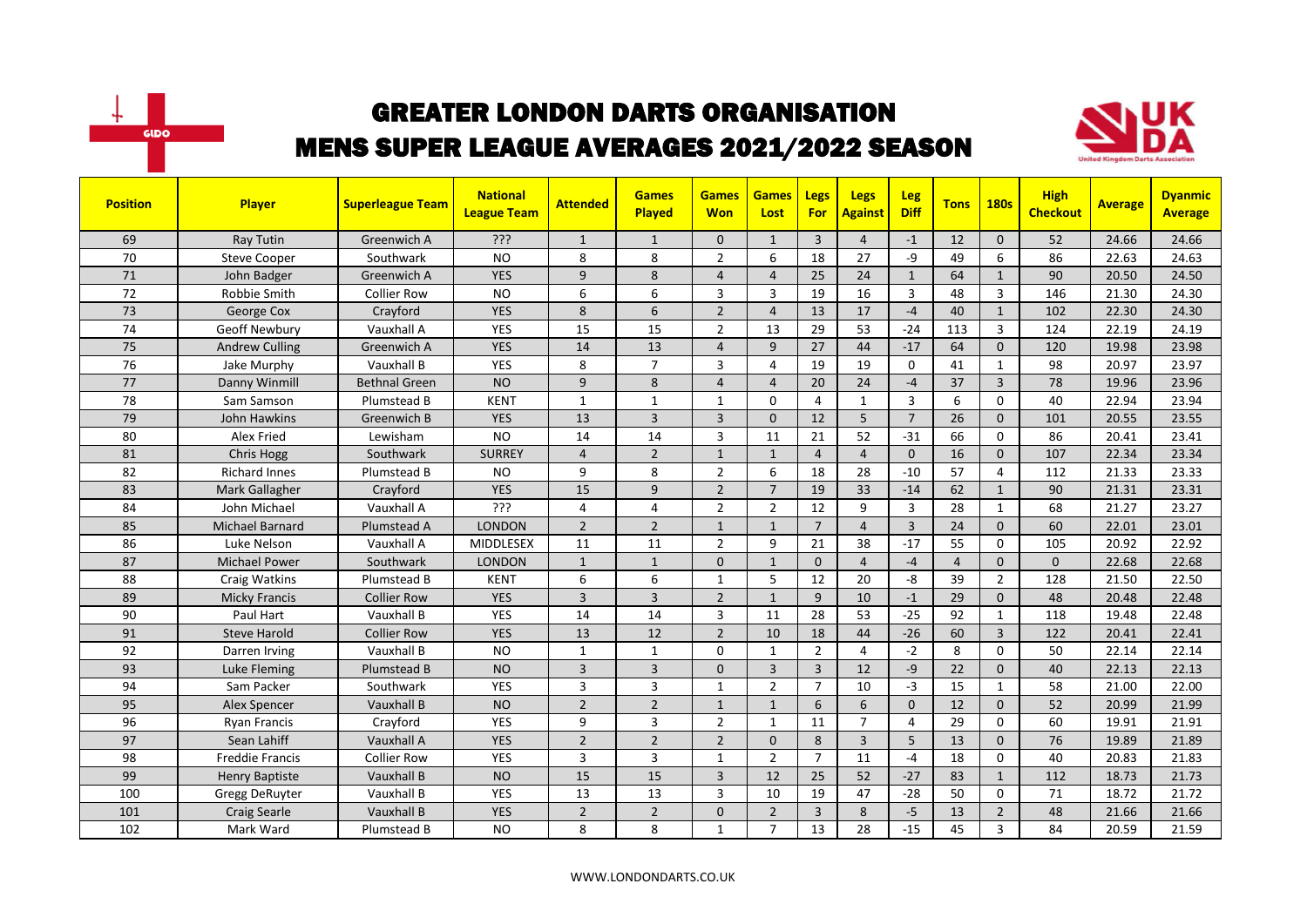



| <b>Position</b> | Player                 | <b>Superleague Team</b> | <b>National</b><br><b>League Team</b> | <b>Attended</b> | <b>Games</b><br>Played | <b>Games</b><br><b>Won</b> | <b>Games</b><br>Lost | Legs<br><b>For</b>      | <b>Legs</b><br><b>Against</b> | <b>Leg</b><br><b>Diff</b> | <b>Tons</b>    | <b>180s</b>    | <b>High</b><br><b>Checkout</b> | <b>Average</b> | <b>Dyanmic</b><br><b>Average</b> |
|-----------------|------------------------|-------------------------|---------------------------------------|-----------------|------------------------|----------------------------|----------------------|-------------------------|-------------------------------|---------------------------|----------------|----------------|--------------------------------|----------------|----------------------------------|
| 69              | Ray Tutin              | Greenwich A             | ???                                   | $\mathbf{1}$    | $\mathbf{1}$           | 0                          | $\mathbf{1}$         | $\overline{3}$          | $\overline{4}$                | $-1$                      | 12             | $\Omega$       | 52                             | 24.66          | 24.66                            |
| 70              | <b>Steve Cooper</b>    | Southwark               | <b>NO</b>                             | 8               | 8                      | $\overline{2}$             | 6                    | 18                      | 27                            | -9                        | 49             | 6              | 86                             | 22.63          | 24.63                            |
| 71              | John Badger            | Greenwich A             | <b>YES</b>                            | 9               | 8                      | $\overline{4}$             | $\overline{4}$       | 25                      | 24                            | $\mathbf{1}$              | 64             | $\mathbf{1}$   | 90                             | 20.50          | 24.50                            |
| 72              | Robbie Smith           | <b>Collier Row</b>      | <b>NO</b>                             | 6               | 6                      | 3                          | 3                    | 19                      | 16                            | $\overline{3}$            | 48             | $\overline{3}$ | 146                            | 21.30          | 24.30                            |
| 73              | George Cox             | Crayford                | <b>YES</b>                            | 8               | 6                      | $\overline{2}$             | $\overline{4}$       | 13                      | 17                            | $-4$                      | 40             | $\mathbf{1}$   | 102                            | 22.30          | 24.30                            |
| 74              | Geoff Newbury          | Vauxhall A              | YES                                   | 15              | 15                     | $\overline{2}$             | 13                   | 29                      | 53                            | $-24$                     | 113            | $\overline{3}$ | 124                            | 22.19          | 24.19                            |
| 75              | <b>Andrew Culling</b>  | Greenwich A             | <b>YES</b>                            | 14              | 13                     | $\overline{4}$             | 9                    | 27                      | 44                            | $-17$                     | 64             | $\mathbf{0}$   | 120                            | 19.98          | 23.98                            |
| 76              | Jake Murphy            | Vauxhall B              | <b>YES</b>                            | 8               | $\overline{7}$         | 3                          | $\overline{4}$       | 19                      | 19                            | $\mathbf 0$               | 41             | $\mathbf{1}$   | 98                             | 20.97          | 23.97                            |
| 77              | Danny Winmill          | <b>Bethnal Green</b>    | <b>NO</b>                             | 9               | 8                      | $\overline{4}$             | $\overline{4}$       | 20                      | 24                            | $-4$                      | 37             | $\overline{3}$ | 78                             | 19.96          | 23.96                            |
| 78              | Sam Samson             | Plumstead B             | <b>KENT</b>                           | $\mathbf{1}$    | $\mathbf{1}$           | $\mathbf{1}$               | $\mathbf 0$          | 4                       | 1                             | $\overline{3}$            | 6              | $\mathbf 0$    | 40                             | 22.94          | 23.94                            |
| 79              | John Hawkins           | Greenwich B             | <b>YES</b>                            | 13              | $\overline{3}$         | $\overline{3}$             | $\mathbf{0}$         | 12                      | 5                             | $\overline{7}$            | 26             | $\mathbf{0}$   | 101                            | 20.55          | 23.55                            |
| 80              | Alex Fried             | Lewisham                | <b>NO</b>                             | 14              | 14                     | 3                          | 11                   | 21                      | 52                            | $-31$                     | 66             | $\Omega$       | 86                             | 20.41          | 23.41                            |
| 81              | Chris Hogg             | Southwark               | <b>SURREY</b>                         | $\overline{4}$  | $\overline{2}$         | $\mathbf{1}$               | $\mathbf{1}$         | $\overline{4}$          | $\overline{4}$                | $\mathbf{0}$              | 16             | $\mathbf{0}$   | 107                            | 22.34          | 23.34                            |
| 82              | <b>Richard Innes</b>   | Plumstead B             | <b>NO</b>                             | 9               | 8                      | $\overline{2}$             | 6                    | 18                      | 28                            | $-10$                     | 57             | $\overline{4}$ | 112                            | 21.33          | 23.33                            |
| 83              | Mark Gallagher         | Crayford                | <b>YES</b>                            | 15              | 9                      | $\overline{2}$             | $\overline{7}$       | 19                      | 33                            | $-14$                     | 62             | $\mathbf{1}$   | 90                             | 21.31          | 23.31                            |
| 84              | John Michael           | Vauxhall A              | ???                                   | 4               | $\overline{4}$         | $\overline{2}$             | $\overline{2}$       | 12                      | 9                             | $\overline{3}$            | 28             | $\mathbf{1}$   | 68                             | 21.27          | 23.27                            |
| 85              | Michael Barnard        | Plumstead A             | <b>LONDON</b>                         | $\overline{2}$  | $\overline{2}$         | $\mathbf{1}$               | $\mathbf{1}$         | $\overline{7}$          | $\overline{4}$                | $\overline{3}$            | 24             | $\Omega$       | 60                             | 22.01          | 23.01                            |
| 86              | Luke Nelson            | Vauxhall A              | MIDDLESEX                             | 11              | 11                     | $\overline{2}$             | 9                    | 21                      | 38                            | $-17$                     | 55             | $\mathbf 0$    | 105                            | 20.92          | 22.92                            |
| 87              | <b>Michael Power</b>   | Southwark               | <b>LONDON</b>                         | $\mathbf{1}$    | $\mathbf{1}$           | 0                          | $\mathbf{1}$         | $\mathbf{0}$            | $\overline{4}$                | $-4$                      | $\overline{4}$ | $\mathbf{0}$   | $\Omega$                       | 22.68          | 22.68                            |
| 88              | Craig Watkins          | Plumstead B             | <b>KENT</b>                           | 6               | 6                      | 1                          | 5                    | 12                      | 20                            | -8                        | 39             | $\overline{2}$ | 128                            | 21.50          | 22.50                            |
| 89              | <b>Micky Francis</b>   | Collier Row             | <b>YES</b>                            | 3               | $\overline{3}$         | $\overline{2}$             | $\mathbf{1}$         | 9                       | 10                            | $-1$                      | 29             | $\mathbf{0}$   | 48                             | 20.48          | 22.48                            |
| 90              | Paul Hart              | Vauxhall B              | YES                                   | 14              | 14                     | 3                          | 11                   | 28                      | 53                            | $-25$                     | 92             | $\mathbf{1}$   | 118                            | 19.48          | 22.48                            |
| 91              | <b>Steve Harold</b>    | <b>Collier Row</b>      | <b>YES</b>                            | 13              | 12                     | $\overline{2}$             | 10                   | 18                      | 44                            | $-26$                     | 60             | $\overline{3}$ | 122                            | 20.41          | 22.41                            |
| 92              | Darren Irving          | Vauxhall B              | <b>NO</b>                             | $\mathbf{1}$    | $\mathbf{1}$           | 0                          | $\mathbf{1}$         | $\overline{2}$          | 4                             | $-2$                      | 8              | $\mathbf 0$    | 50                             | 22.14          | 22.14                            |
| 93              | Luke Fleming           | Plumstead B             | <b>NO</b>                             | 3               | $\overline{3}$         | 0                          | 3                    | $\overline{3}$          | 12                            | $-9$                      | 22             | $\mathbf{0}$   | 40                             | 22.13          | 22.13                            |
| 94              | Sam Packer             | Southwark               | <b>YES</b>                            | 3               | $\overline{3}$         | 1                          | $\overline{2}$       | $\overline{7}$          | 10                            | $-3$                      | 15             | $\mathbf{1}$   | 58                             | 21.00          | 22.00                            |
| 95              | Alex Spencer           | Vauxhall B              | <b>NO</b>                             | $\overline{2}$  | $\overline{2}$         | $\mathbf{1}$               | $\mathbf{1}$         | 6                       | 6                             | $\mathbf{0}$              | 12             | $\Omega$       | 52                             | 20.99          | 21.99                            |
| 96              | <b>Ryan Francis</b>    | Crayford                | <b>YES</b>                            | 9               | 3                      | $\overline{2}$             | 1                    | 11                      | $\overline{7}$                | 4                         | 29             | $\mathbf 0$    | 60                             | 19.91          | 21.91                            |
| 97              | Sean Lahiff            | Vauxhall A              | <b>YES</b>                            | $\overline{2}$  | $\overline{2}$         | $\overline{2}$             | $\mathbf{0}$         | 8                       | 3                             | 5                         | 13             | $\mathbf{0}$   | 76                             | 19.89          | 21.89                            |
| 98              | <b>Freddie Francis</b> | <b>Collier Row</b>      | <b>YES</b>                            | 3               | $\overline{3}$         | $\mathbf{1}$               | $\overline{2}$       | $\overline{7}$          | 11                            | $-4$                      | 18             | $\Omega$       | 40                             | 20.83          | 21.83                            |
| 99              | <b>Henry Baptiste</b>  | Vauxhall B              | <b>NO</b>                             | 15              | 15                     | $\overline{3}$             | 12                   | 25                      | 52                            | $-27$                     | 83             | $\mathbf{1}$   | 112                            | 18.73          | 21.73                            |
| 100             | Gregg DeRuyter         | Vauxhall B              | <b>YES</b>                            | 13              | 13                     | 3                          | 10                   | 19                      | 47                            | $-28$                     | 50             | 0              | 71                             | 18.72          | 21.72                            |
| 101             | <b>Craig Searle</b>    | Vauxhall B              | <b>YES</b>                            | $\overline{2}$  | $\overline{2}$         | 0                          | $\overline{2}$       | $\overline{\mathbf{3}}$ | 8                             | $-5$                      | 13             | $\overline{2}$ | 48                             | 21.66          | 21.66                            |
| 102             | Mark Ward              | Plumstead B             | <b>NO</b>                             | 8               | 8                      | $\mathbf{1}$               | $\overline{7}$       | 13                      | 28                            | $-15$                     | 45             | 3              | 84                             | 20.59          | 21.59                            |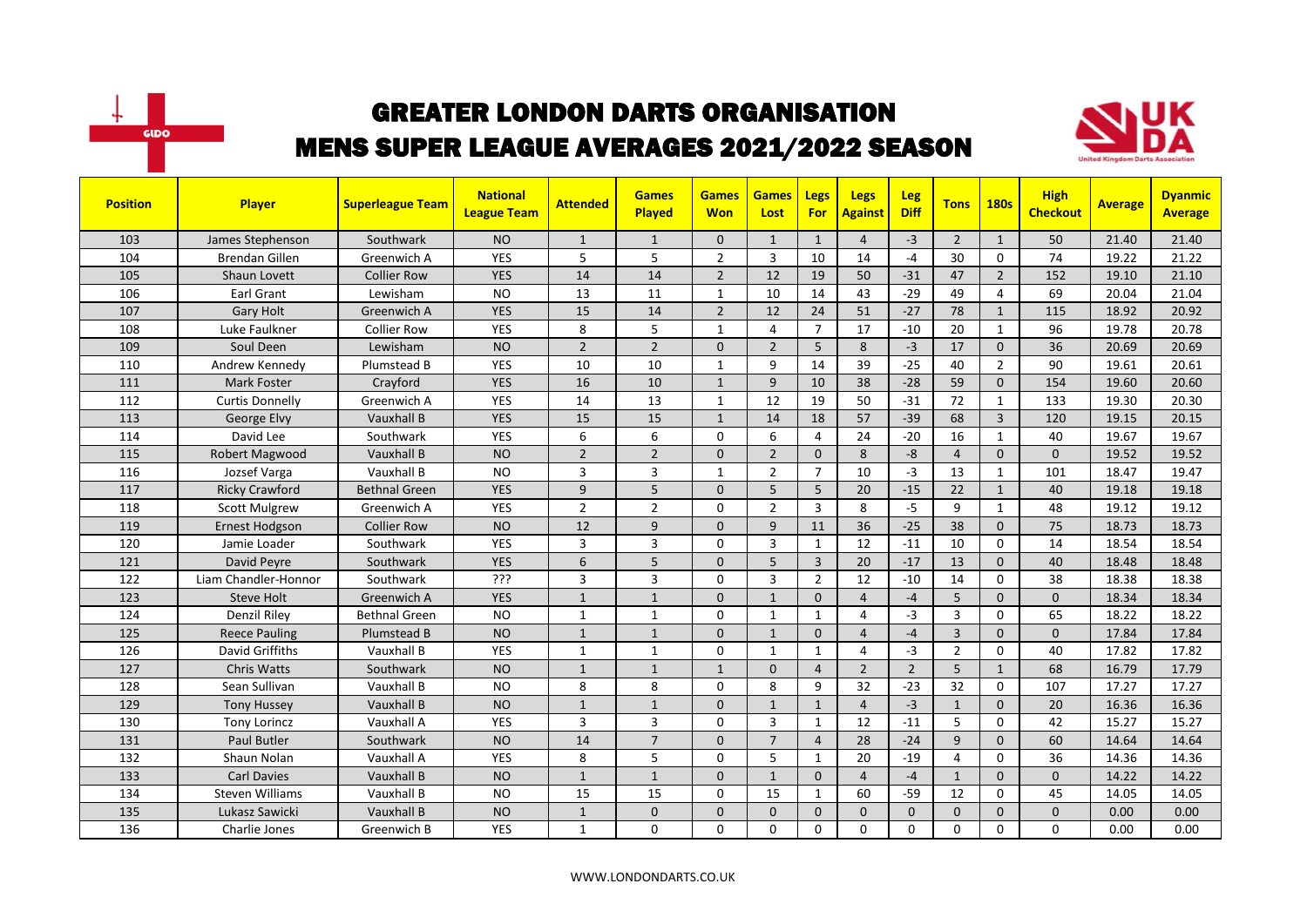



| <b>Position</b> | <b>Player</b>          | <b>Superleague Team</b> | <b>National</b><br><b>League Team</b> | <b>Attended</b> | <b>Games</b><br><b>Played</b> | <b>Games</b><br><b>Won</b> | <b>Games</b><br>Lost | <b>Legs</b><br><b>For</b> | <b>Legs</b><br><b>Against</b> | <b>Leg</b><br><b>Diff</b> | <b>Tons</b>    | <b>180s</b>    | <b>High</b><br><b>Checkout</b> | <b>Average</b> | <b>Dyanmic</b><br><b>Average</b> |
|-----------------|------------------------|-------------------------|---------------------------------------|-----------------|-------------------------------|----------------------------|----------------------|---------------------------|-------------------------------|---------------------------|----------------|----------------|--------------------------------|----------------|----------------------------------|
| 103             | James Stephenson       | Southwark               | <b>NO</b>                             | $\mathbf{1}$    | $\mathbf{1}$                  | $\mathbf{0}$               | $\mathbf{1}$         | $\mathbf{1}$              | $\overline{4}$                | $-3$                      | $\overline{2}$ | 1              | 50                             | 21.40          | 21.40                            |
| 104             | <b>Brendan Gillen</b>  | Greenwich A             | <b>YES</b>                            | 5               | 5                             | $\overline{2}$             | $\overline{3}$       | 10                        | 14                            | $-4$                      | 30             | $\Omega$       | 74                             | 19.22          | 21.22                            |
| 105             | Shaun Lovett           | <b>Collier Row</b>      | <b>YES</b>                            | 14              | 14                            | $\overline{2}$             | 12                   | 19                        | 50                            | $-31$                     | 47             | $\overline{2}$ | 152                            | 19.10          | 21.10                            |
| 106             | Earl Grant             | Lewisham                | <b>NO</b>                             | 13              | 11                            | $\mathbf{1}$               | 10                   | 14                        | 43                            | $-29$                     | 49             | 4              | 69                             | 20.04          | 21.04                            |
| 107             | <b>Gary Holt</b>       | Greenwich A             | <b>YES</b>                            | 15              | 14                            | $\overline{2}$             | 12                   | 24                        | 51                            | $-27$                     | 78             | $\mathbf{1}$   | 115                            | 18.92          | 20.92                            |
| 108             | Luke Faulkner          | <b>Collier Row</b>      | <b>YES</b>                            | 8               | 5                             | $\mathbf{1}$               | 4                    | $\overline{7}$            | 17                            | $-10$                     | 20             | $\mathbf{1}$   | 96                             | 19.78          | 20.78                            |
| 109             | Soul Deen              | Lewisham                | <b>NO</b>                             | $\overline{2}$  | $\overline{2}$                | $\Omega$                   | $\overline{2}$       | $5\overline{5}$           | 8                             | $-3$                      | 17             | $\mathbf{0}$   | 36                             | 20.69          | 20.69                            |
| 110             | Andrew Kennedy         | Plumstead B             | <b>YES</b>                            | 10              | 10                            | $\mathbf{1}$               | 9                    | 14                        | 39                            | $-25$                     | 40             | $\overline{2}$ | 90                             | 19.61          | 20.61                            |
| 111             | <b>Mark Foster</b>     | Crayford                | <b>YES</b>                            | 16              | 10                            | $\mathbf{1}$               | 9                    | 10                        | 38                            | $-28$                     | 59             | $\Omega$       | 154                            | 19.60          | 20.60                            |
| 112             | <b>Curtis Donnelly</b> | Greenwich A             | <b>YES</b>                            | 14              | 13                            | $\mathbf{1}$               | 12                   | 19                        | 50                            | $-31$                     | 72             | $\mathbf{1}$   | 133                            | 19.30          | 20.30                            |
| 113             | George Elvy            | Vauxhall B              | <b>YES</b>                            | 15              | 15                            | $\mathbf{1}$               | 14                   | 18                        | 57                            | $-39$                     | 68             | $\overline{3}$ | 120                            | 19.15          | 20.15                            |
| 114             | David Lee              | Southwark               | <b>YES</b>                            | 6               | 6                             | 0                          | 6                    | 4                         | 24                            | $-20$                     | 16             | $\mathbf{1}$   | 40                             | 19.67          | 19.67                            |
| 115             | Robert Magwood         | Vauxhall B              | <b>NO</b>                             | $\overline{2}$  | $\overline{2}$                | 0                          | $\overline{2}$       | $\Omega$                  | 8                             | $-8$                      | $\overline{4}$ | $\Omega$       | $\mathbf{0}$                   | 19.52          | 19.52                            |
| 116             | Jozsef Varga           | Vauxhall B              | <b>NO</b>                             | 3               | $\overline{3}$                | $\mathbf{1}$               | $\overline{2}$       | $\overline{7}$            | 10                            | $-3$                      | 13             | $\mathbf{1}$   | 101                            | 18.47          | 19.47                            |
| 117             | <b>Ricky Crawford</b>  | <b>Bethnal Green</b>    | <b>YES</b>                            | 9               | 5                             | $\Omega$                   | 5                    | $5\overline{5}$           | 20                            | $-15$                     | 22             | $\mathbf{1}$   | 40                             | 19.18          | 19.18                            |
| 118             | <b>Scott Mulgrew</b>   | Greenwich A             | <b>YES</b>                            | $\overline{2}$  | $\overline{2}$                | $\Omega$                   | $\overline{2}$       | $\overline{3}$            | 8                             | $-5$                      | 9              | $\mathbf{1}$   | 48                             | 19.12          | 19.12                            |
| 119             | <b>Ernest Hodgson</b>  | <b>Collier Row</b>      | <b>NO</b>                             | 12              | 9                             | $\Omega$                   | 9                    | 11                        | 36                            | $-25$                     | 38             | $\mathbf{0}$   | 75                             | 18.73          | 18.73                            |
| 120             | Jamie Loader           | Southwark               | YES                                   | 3               | 3                             | 0                          | $\overline{3}$       | $\mathbf{1}$              | 12                            | $-11$                     | 10             | $\mathbf 0$    | 14                             | 18.54          | 18.54                            |
| 121             | David Peyre            | Southwark               | <b>YES</b>                            | 6               | 5                             | $\Omega$                   | 5                    | $\overline{3}$            | 20                            | $-17$                     | 13             | $\Omega$       | 40                             | 18.48          | 18.48                            |
| 122             | Liam Chandler-Honnor   | Southwark               | ???                                   | 3               | $\overline{3}$                | $\Omega$                   | $\overline{3}$       | $\overline{2}$            | 12                            | $-10$                     | 14             | $\mathbf 0$    | 38                             | 18.38          | 18.38                            |
| 123             | Steve Holt             | Greenwich A             | <b>YES</b>                            | $\mathbf{1}$    | $\mathbf{1}$                  | $\Omega$                   | $\mathbf{1}$         | $\Omega$                  | $\overline{4}$                | $-4$                      | 5              | $\Omega$       | $\mathbf{0}$                   | 18.34          | 18.34                            |
| 124             | <b>Denzil Riley</b>    | <b>Bethnal Green</b>    | <b>NO</b>                             | $\mathbf{1}$    | $\mathbf{1}$                  | $\Omega$                   | $\mathbf{1}$         | $\mathbf{1}$              | $\overline{a}$                | $-3$                      | $\overline{3}$ | $\Omega$       | 65                             | 18.22          | 18.22                            |
| 125             | <b>Reece Pauling</b>   | <b>Plumstead B</b>      | <b>NO</b>                             | $\mathbf{1}$    | $\mathbf{1}$                  | $\Omega$                   | $\mathbf{1}$         | $\Omega$                  | $\overline{4}$                | $-4$                      | $\overline{3}$ | $\Omega$       | $\overline{0}$                 | 17.84          | 17.84                            |
| 126             | <b>David Griffiths</b> | Vauxhall B              | <b>YES</b>                            | $\mathbf{1}$    | 1                             | 0                          | 1                    | 1                         | 4                             | $-3$                      | $\overline{2}$ | 0              | 40                             | 17.82          | 17.82                            |
| 127             | <b>Chris Watts</b>     | Southwark               | <b>NO</b>                             | $\mathbf{1}$    | $\mathbf{1}$                  | $\mathbf{1}$               | $\mathbf{0}$         | $\overline{4}$            | $\overline{2}$                | $\overline{2}$            | 5              | $\mathbf{1}$   | 68                             | 16.79          | 17.79                            |
| 128             | Sean Sullivan          | Vauxhall B              | <b>NO</b>                             | 8               | 8                             | 0                          | 8                    | 9                         | 32                            | $-23$                     | 32             | $\mathbf 0$    | 107                            | 17.27          | 17.27                            |
| 129             | <b>Tony Hussey</b>     | Vauxhall B              | <b>NO</b>                             | $\mathbf{1}$    | $\mathbf{1}$                  | $\mathbf{0}$               | $\mathbf{1}$         | $\mathbf{1}$              | $\overline{4}$                | $-3$                      | $\mathbf{1}$   | $\Omega$       | 20                             | 16.36          | 16.36                            |
| 130             | <b>Tony Lorincz</b>    | Vauxhall A              | <b>YES</b>                            | 3               | $\overline{3}$                | $\Omega$                   | 3                    | $\mathbf{1}$              | 12                            | $-11$                     | 5              | $\Omega$       | 42                             | 15.27          | 15.27                            |
| 131             | <b>Paul Butler</b>     | Southwark               | <b>NO</b>                             | 14              | $\overline{7}$                | $\Omega$                   | $\overline{7}$       | $\overline{4}$            | 28                            | $-24$                     | 9              | $\Omega$       | 60                             | 14.64          | 14.64                            |
| 132             | Shaun Nolan            | Vauxhall A              | <b>YES</b>                            | 8               | 5                             | $\Omega$                   | 5                    | $\mathbf{1}$              | 20                            | $-19$                     | 4              | $\mathbf 0$    | 36                             | 14.36          | 14.36                            |
| 133             | <b>Carl Davies</b>     | Vauxhall B              | <b>NO</b>                             | $\mathbf{1}$    | $\mathbf{1}$                  | 0                          | $\mathbf{1}$         | $\mathbf{0}$              | $\overline{4}$                | $-4$                      | $\mathbf{1}$   | $\mathbf{0}$   | 0                              | 14.22          | 14.22                            |
| 134             | <b>Steven Williams</b> | Vauxhall B              | <b>NO</b>                             | 15              | 15                            | 0                          | 15                   | $\mathbf{1}$              | 60                            | $-59$                     | 12             | 0              | 45                             | 14.05          | 14.05                            |
| 135             | Lukasz Sawicki         | Vauxhall B              | <b>NO</b>                             | $\mathbf{1}$    | $\Omega$                      | $\Omega$                   | $\Omega$             | $\mathbf{0}$              | $\Omega$                      | $\Omega$                  | $\Omega$       | $\Omega$       | $\mathbf{0}$                   | 0.00           | 0.00                             |
| 136             | Charlie Jones          | Greenwich B             | <b>YES</b>                            | $\mathbf{1}$    | $\Omega$                      | $\Omega$                   | $\Omega$             | $\mathbf 0$               | $\Omega$                      | $\Omega$                  | 0              | $\Omega$       | $\Omega$                       | 0.00           | 0.00                             |